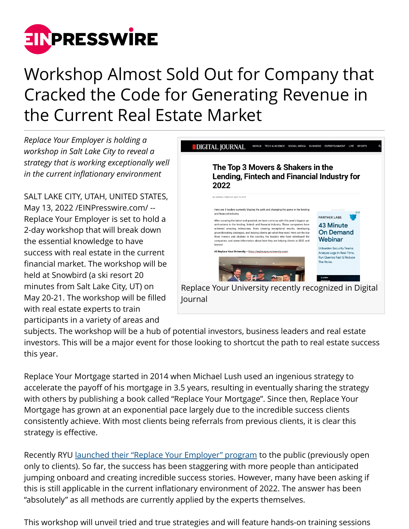

## Workshop Almost Sold Out for Company that Cracked the Code for Generating Revenue in the Current Real Estate Market

*Replace Your Employer is holding a workshop in Salt Lake City to reveal a strategy that is working exceptionally well in the current inflationary environment*

SALT LAKE CITY, UTAH, UNITED STATES, May 13, 2022 [/EINPresswire.com](http://www.einpresswire.com)/ -- Replace Your Employer is set to hold a 2-day workshop that will break down the essential knowledge to have success with real estate in the current financial market. The workshop will be held at Snowbird (a ski resort 20 minutes from Salt Lake City, UT) on May 20-21. The workshop will be filled with real estate experts to train participants in a variety of areas and



subjects. The workshop will be a hub of potential investors, business leaders and real estate investors. This will be a major event for those looking to shortcut the path to real estate success this year.

Replace Your Mortgage started in 2014 when Michael Lush used an ingenious strategy to accelerate the payoff of his mortgage in 3.5 years, resulting in eventually sharing the strategy with others by publishing a book called "Replace Your Mortgage". Since then, Replace Your Mortgage has grown at an exponential pace largely due to the incredible success clients consistently achieve. With most clients being referrals from previous clients, it is clear this strategy is effective.

Recently RYU <u>launched their "Replace Your Employer" program</u> to the public (previously open only to clients). So far, the success has been staggering with more people than anticipated jumping onboard and creating incredible success stories. However, many have been asking if this is still applicable in the current inflationary environment of 2022. The answer has been "absolutely" as all methods are currently applied by the experts themselves.

This workshop will unveil tried and true strategies and will feature hands-on training sessions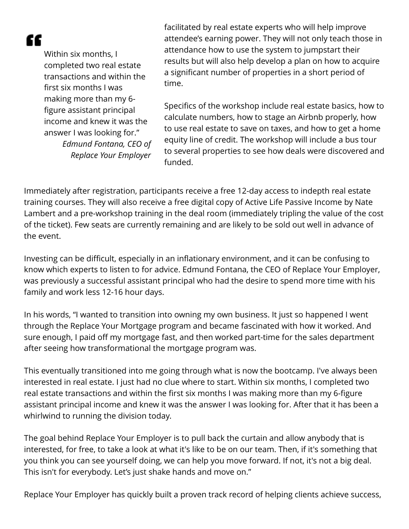"

Within six months, I completed two real estate transactions and within the first six months I was making more than my 6 figure assistant principal income and knew it was the answer I was looking for." *Edmund Fontana, CEO of Replace Your Employer*

facilitated by real estate experts who will help improve attendee's earning power. They will not only teach those in attendance how to use the system to jumpstart their results but will also help develop a plan on how to acquire a significant number of properties in a short period of time.

Specifics of the workshop include real estate basics, how to calculate numbers, how to stage an Airbnb properly, how to use real estate to save on taxes, and how to get a home equity line of credit. The workshop will include a bus tour to several properties to see how deals were discovered and funded.

Immediately after registration, participants receive a free 12-day access to indepth real estate training courses. They will also receive a free digital copy of Active Life Passive Income by Nate Lambert and a pre-workshop training in the deal room (immediately tripling the value of the cost of the ticket). Few seats are currently remaining and are likely to be sold out well in advance of the event.

Investing can be difficult, especially in an inflationary environment, and it can be confusing to know which experts to listen to for advice. Edmund Fontana, the CEO of Replace Your Employer, was previously a successful assistant principal who had the desire to spend more time with his family and work less 12-16 hour days.

In his words, "I wanted to transition into owning my own business. It just so happened I went through the Replace Your Mortgage program and became fascinated with how it worked. And sure enough, I paid off my mortgage fast, and then worked part-time for the sales department after seeing how transformational the mortgage program was.

This eventually transitioned into me going through what is now the bootcamp. I've always been interested in real estate. I just had no clue where to start. Within six months, I completed two real estate transactions and within the first six months I was making more than my 6-figure assistant principal income and knew it was the answer I was looking for. After that it has been a whirlwind to running the division today.

The goal behind Replace Your Employer is to pull back the curtain and allow anybody that is interested, for free, to take a look at what it's like to be on our team. Then, if it's something that you think you can see yourself doing, we can help you move forward. If not, it's not a big deal. This isn't for everybody. Let's just shake hands and move on."

Replace Your Employer has quickly built a proven track record of helping clients achieve success,